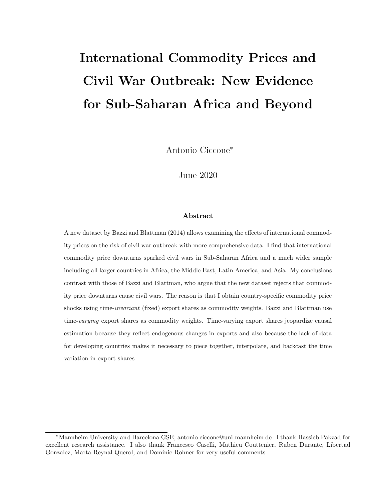# International Commodity Prices and Civil War Outbreak: New Evidence for Sub-Saharan Africa and Beyond

Antonio Ciccone<sup>∗</sup>

June 2020

#### Abstract

A new dataset by Bazzi and Blattman (2014) allows examining the effects of international commodity prices on the risk of civil war outbreak with more comprehensive data. I find that international commodity price downturns sparked civil wars in Sub-Saharan Africa and a much wider sample including all larger countries in Africa, the Middle East, Latin America, and Asia. My conclusions contrast with those of Bazzi and Blattman, who argue that the new dataset rejects that commodity price downturns cause civil wars. The reason is that I obtain country-specific commodity price shocks using time-*invariant* (fixed) export shares as commodity weights. Bazzi and Blattman use time-varying export shares as commodity weights. Time-varying export shares jeopardize causal estimation because they reflect endogenous changes in exports and also because the lack of data for developing countries makes it necessary to piece together, interpolate, and backcast the time variation in export shares.

<sup>∗</sup>Mannheim University and Barcelona GSE; antonio.ciccone@uni-mannheim.de. I thank Hassieb Pakzad for excellent research assistance. I also thank Francesco Caselli, Mathieu Couttenier, Ruben Durante, Libertad Gonzalez, Marta Reynal-Querol, and Dominic Rohner for very useful comments.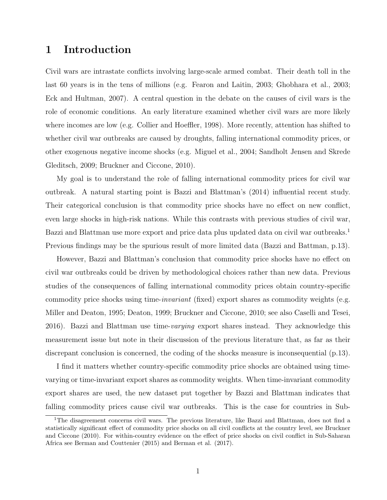# 1 Introduction

Civil wars are intrastate conflicts involving large-scale armed combat. Their death toll in the last 60 years is in the tens of millions (e.g. Fearon and Laitin, 2003; Ghobhara et al., 2003; Eck and Hultman, 2007). A central question in the debate on the causes of civil wars is the role of economic conditions. An early literature examined whether civil wars are more likely where incomes are low (e.g. Collier and Hoeffler, 1998). More recently, attention has shifted to whether civil war outbreaks are caused by droughts, falling international commodity prices, or other exogenous negative income shocks (e.g. Miguel et al., 2004; Sandholt Jensen and Skrede Gleditsch, 2009; Bruckner and Ciccone, 2010).

My goal is to understand the role of falling international commodity prices for civil war outbreak. A natural starting point is Bazzi and Blattman's (2014) influential recent study. Their categorical conclusion is that commodity price shocks have no effect on new conflict, even large shocks in high-risk nations. While this contrasts with previous studies of civil war, Bazzi and Blattman use more export and price data plus updated data on civil war outbreaks.<sup>1</sup> Previous findings may be the spurious result of more limited data (Bazzi and Battman, p.13).

However, Bazzi and Blattman's conclusion that commodity price shocks have no effect on civil war outbreaks could be driven by methodological choices rather than new data. Previous studies of the consequences of falling international commodity prices obtain country-specific commodity price shocks using time-*invariant* (fixed) export shares as commodity weights (e.g. Miller and Deaton, 1995; Deaton, 1999; Bruckner and Ciccone, 2010; see also Caselli and Tesei, 2016). Bazzi and Blattman use time-varying export shares instead. They acknowledge this measurement issue but note in their discussion of the previous literature that, as far as their discrepant conclusion is concerned, the coding of the shocks measure is inconsequential (p.13).

I find it matters whether country-specific commodity price shocks are obtained using timevarying or time-invariant export shares as commodity weights. When time-invariant commodity export shares are used, the new dataset put together by Bazzi and Blattman indicates that falling commodity prices cause civil war outbreaks. This is the case for countries in Sub-

<sup>&</sup>lt;sup>1</sup>The disagreement concerns civil wars. The previous literature, like Bazzi and Blattman, does not find a statistically significant effect of commodity price shocks on all civil conflicts at the country level, see Bruckner and Ciccone (2010). For within-country evidence on the effect of price shocks on civil conflict in Sub-Saharan Africa see Berman and Couttenier (2015) and Berman et al. (2017).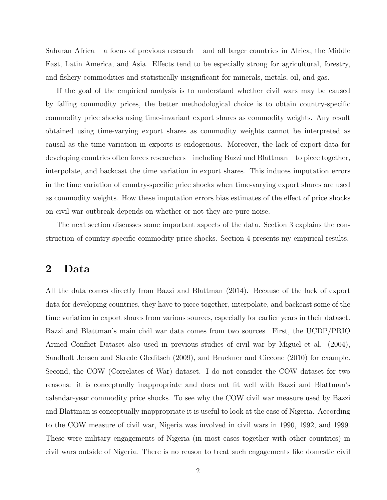Saharan Africa – a focus of previous research – and all larger countries in Africa, the Middle East, Latin America, and Asia. Effects tend to be especially strong for agricultural, forestry, and fishery commodities and statistically insignificant for minerals, metals, oil, and gas.

If the goal of the empirical analysis is to understand whether civil wars may be caused by falling commodity prices, the better methodological choice is to obtain country-specific commodity price shocks using time-invariant export shares as commodity weights. Any result obtained using time-varying export shares as commodity weights cannot be interpreted as causal as the time variation in exports is endogenous. Moreover, the lack of export data for developing countries often forces researchers – including Bazzi and Blattman – to piece together, interpolate, and backcast the time variation in export shares. This induces imputation errors in the time variation of country-specific price shocks when time-varying export shares are used as commodity weights. How these imputation errors bias estimates of the effect of price shocks on civil war outbreak depends on whether or not they are pure noise.

The next section discusses some important aspects of the data. Section 3 explains the construction of country-specific commodity price shocks. Section 4 presents my empirical results.

## 2 Data

All the data comes directly from Bazzi and Blattman (2014). Because of the lack of export data for developing countries, they have to piece together, interpolate, and backcast some of the time variation in export shares from various sources, especially for earlier years in their dataset. Bazzi and Blattman's main civil war data comes from two sources. First, the UCDP/PRIO Armed Conflict Dataset also used in previous studies of civil war by Miguel et al. (2004), Sandholt Jensen and Skrede Gleditsch (2009), and Bruckner and Ciccone (2010) for example. Second, the COW (Correlates of War) dataset. I do not consider the COW dataset for two reasons: it is conceptually inappropriate and does not fit well with Bazzi and Blattman's calendar-year commodity price shocks. To see why the COW civil war measure used by Bazzi and Blattman is conceptually inappropriate it is useful to look at the case of Nigeria. According to the COW measure of civil war, Nigeria was involved in civil wars in 1990, 1992, and 1999. These were military engagements of Nigeria (in most cases together with other countries) in civil wars outside of Nigeria. There is no reason to treat such engagements like domestic civil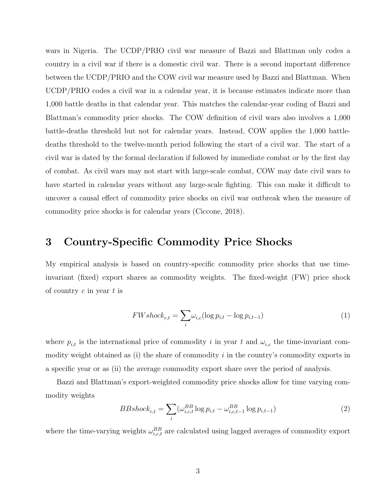wars in Nigeria. The UCDP/PRIO civil war measure of Bazzi and Blattman only codes a country in a civil war if there is a domestic civil war. There is a second important difference between the UCDP/PRIO and the COW civil war measure used by Bazzi and Blattman. When UCDP/PRIO codes a civil war in a calendar year, it is because estimates indicate more than 1,000 battle deaths in that calendar year. This matches the calendar-year coding of Bazzi and Blattman's commodity price shocks. The COW definition of civil wars also involves a 1,000 battle-deaths threshold but not for calendar years. Instead, COW applies the 1,000 battledeaths threshold to the twelve-month period following the start of a civil war. The start of a civil war is dated by the formal declaration if followed by immediate combat or by the first day of combat. As civil wars may not start with large-scale combat, COW may date civil wars to have started in calendar years without any large-scale fighting. This can make it difficult to uncover a causal effect of commodity price shocks on civil war outbreak when the measure of commodity price shocks is for calendar years (Ciccone, 2018).

# 3 Country-Specific Commodity Price Shocks

My empirical analysis is based on country-specific commodity price shocks that use timeinvariant (fixed) export shares as commodity weights. The fixed-weight (FW) price shock of country  $c$  in year  $t$  is

$$
FWshock_{c,t} = \sum_{i} \omega_{i,c} (\log p_{i,t} - \log p_{i,t-1})
$$
\n(1)

where  $p_{i,t}$  is the international price of commodity i in year t and  $\omega_{i,c}$  the time-invariant commodity weight obtained as (i) the share of commodity  $i$  in the country's commodity exports in a specific year or as (ii) the average commodity export share over the period of analysis.

Bazzi and Blattman's export-weighted commodity price shocks allow for time varying commodity weights

$$
BBshock_{c,t} = \sum_{i} (\omega_{i,c,t}^{BB} \log p_{i,t} - \omega_{i,c,t-1}^{BB} \log p_{i,t-1})
$$
\n(2)

where the time-varying weights  $\omega_{i,c,t}^{BB}$  are calculated using lagged averages of commodity export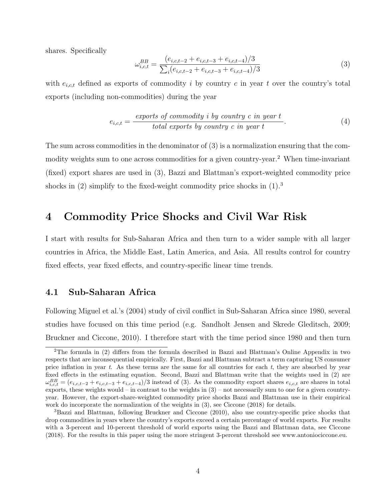shares. Specifically

$$
\omega_{i,c,t}^{BB} = \frac{(e_{i,c,t-2} + e_{i,c,t-3} + e_{i,c,t-4})/3}{\sum_{i}(e_{i,c,t-2} + e_{i,c,t-3} + e_{i,c,t-4})/3}
$$
(3)

with  $e_{i,ct}$  defined as exports of commodity i by country c in year t over the country's total exports (including non-commodities) during the year

$$
e_{i,c,t} = \frac{\text{exports of commodity } i \text{ by country } c \text{ in year } t}{\text{total exports by country } c \text{ in year } t}.
$$
\n
$$
(4)
$$

The sum across commodities in the denominator of (3) is a normalization ensuring that the commodity weights sum to one across commodities for a given country-year.<sup>2</sup> When time-invariant (fixed) export shares are used in (3), Bazzi and Blattman's export-weighted commodity price shocks in  $(2)$  simplify to the fixed-weight commodity price shocks in  $(1).<sup>3</sup>$ 

### 4 Commodity Price Shocks and Civil War Risk

I start with results for Sub-Saharan Africa and then turn to a wider sample with all larger countries in Africa, the Middle East, Latin America, and Asia. All results control for country fixed effects, year fixed effects, and country-specific linear time trends.

#### 4.1 Sub-Saharan Africa

Following Miguel et al.'s (2004) study of civil conflict in Sub-Saharan Africa since 1980, several studies have focused on this time period (e.g. Sandholt Jensen and Skrede Gleditsch, 2009; Bruckner and Ciccone, 2010). I therefore start with the time period since 1980 and then turn

<sup>2</sup>The formula in (2) differs from the formula described in Bazzi and Blattman's Online Appendix in two respects that are inconsequential empirically. First, Bazzi and Blattman subtract a term capturing US consumer price inflation in year  $t$ . As these terms are the same for all countries for each  $t$ , they are absorbed by year fixed effects in the estimating equation. Second, Bazzi and Blattman write that the weights used in (2) are  $\omega_{i,c,t}^{BB} = (e_{i,c,t-2} + e_{i,c,t-3} + e_{i,c,t-4})/3$  instead of (3). As the commodity export shares  $e_{i,c,t}$  are shares in total exports, these weights would – in contrast to the weights in  $(3)$  – not necessarily sum to one for a given countryyear. However, the export-share-weighted commodity price shocks Bazzi and Blattman use in their empirical work do incorporate the normalization of the weights in (3), see Ciccone (2018) for details.

<sup>3</sup>Bazzi and Blattman, following Bruckner and Ciccone (2010), also use country-specific price shocks that drop commodities in years where the country's exports exceed a certain percentage of world exports. For results with a 3-percent and 10-percent threshold of world exports using the Bazzi and Blattman data, see Ciccone (2018). For the results in this paper using the more stringent 3-percent threshold see www.antoniociccone.eu.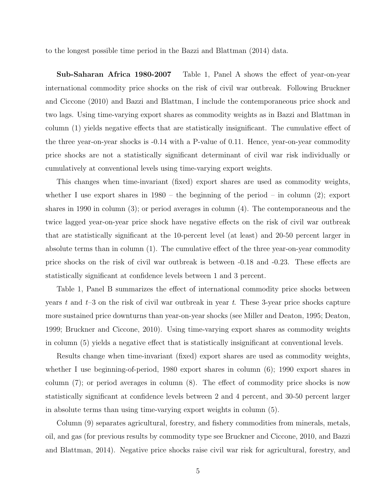to the longest possible time period in the Bazzi and Blattman (2014) data.

Sub-Saharan Africa 1980-2007 Table 1, Panel A shows the effect of year-on-year international commodity price shocks on the risk of civil war outbreak. Following Bruckner and Ciccone (2010) and Bazzi and Blattman, I include the contemporaneous price shock and two lags. Using time-varying export shares as commodity weights as in Bazzi and Blattman in column (1) yields negative effects that are statistically insignificant. The cumulative effect of the three year-on-year shocks is -0.14 with a P-value of 0.11. Hence, year-on-year commodity price shocks are not a statistically significant determinant of civil war risk individually or cumulatively at conventional levels using time-varying export weights.

This changes when time-invariant (fixed) export shares are used as commodity weights, whether I use export shares in  $1980 -$  the beginning of the period – in column (2); export shares in 1990 in column (3); or period averages in column (4). The contemporaneous and the twice lagged year-on-year price shock have negative effects on the risk of civil war outbreak that are statistically significant at the 10-percent level (at least) and 20-50 percent larger in absolute terms than in column (1). The cumulative effect of the three year-on-year commodity price shocks on the risk of civil war outbreak is between -0.18 and -0.23. These effects are statistically significant at confidence levels between 1 and 3 percent.

Table 1, Panel B summarizes the effect of international commodity price shocks between years t and  $t-3$  on the risk of civil war outbreak in year t. These 3-year price shocks capture more sustained price downturns than year-on-year shocks (see Miller and Deaton, 1995; Deaton, 1999; Bruckner and Ciccone, 2010). Using time-varying export shares as commodity weights in column (5) yields a negative effect that is statistically insignificant at conventional levels.

Results change when time-invariant (fixed) export shares are used as commodity weights, whether I use beginning-of-period, 1980 export shares in column (6); 1990 export shares in column (7); or period averages in column (8). The effect of commodity price shocks is now statistically significant at confidence levels between 2 and 4 percent, and 30-50 percent larger in absolute terms than using time-varying export weights in column (5).

Column (9) separates agricultural, forestry, and fishery commodities from minerals, metals, oil, and gas (for previous results by commodity type see Bruckner and Ciccone, 2010, and Bazzi and Blattman, 2014). Negative price shocks raise civil war risk for agricultural, forestry, and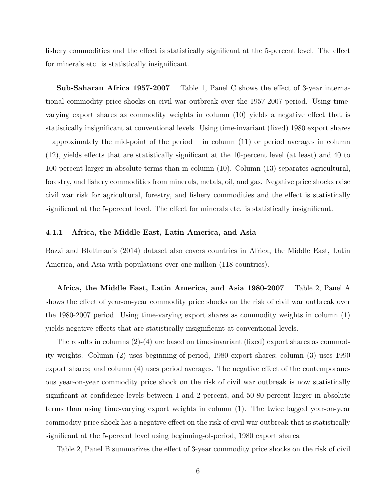fishery commodities and the effect is statistically significant at the 5-percent level. The effect for minerals etc. is statistically insignificant.

Sub-Saharan Africa 1957-2007 Table 1, Panel C shows the effect of 3-year international commodity price shocks on civil war outbreak over the 1957-2007 period. Using timevarying export shares as commodity weights in column (10) yields a negative effect that is statistically insignificant at conventional levels. Using time-invariant (fixed) 1980 export shares – approximately the mid-point of the period – in column (11) or period averages in column (12), yields effects that are statistically significant at the 10-percent level (at least) and 40 to 100 percent larger in absolute terms than in column (10). Column (13) separates agricultural, forestry, and fishery commodities from minerals, metals, oil, and gas. Negative price shocks raise civil war risk for agricultural, forestry, and fishery commodities and the effect is statistically significant at the 5-percent level. The effect for minerals etc. is statistically insignificant.

#### 4.1.1 Africa, the Middle East, Latin America, and Asia

Bazzi and Blattman's (2014) dataset also covers countries in Africa, the Middle East, Latin America, and Asia with populations over one million (118 countries).

Africa, the Middle East, Latin America, and Asia 1980-2007 Table 2, Panel A shows the effect of year-on-year commodity price shocks on the risk of civil war outbreak over the 1980-2007 period. Using time-varying export shares as commodity weights in column (1) yields negative effects that are statistically insignificant at conventional levels.

The results in columns (2)-(4) are based on time-invariant (fixed) export shares as commodity weights. Column (2) uses beginning-of-period, 1980 export shares; column (3) uses 1990 export shares; and column (4) uses period averages. The negative effect of the contemporaneous year-on-year commodity price shock on the risk of civil war outbreak is now statistically significant at confidence levels between 1 and 2 percent, and 50-80 percent larger in absolute terms than using time-varying export weights in column (1). The twice lagged year-on-year commodity price shock has a negative effect on the risk of civil war outbreak that is statistically significant at the 5-percent level using beginning-of-period, 1980 export shares.

Table 2, Panel B summarizes the effect of 3-year commodity price shocks on the risk of civil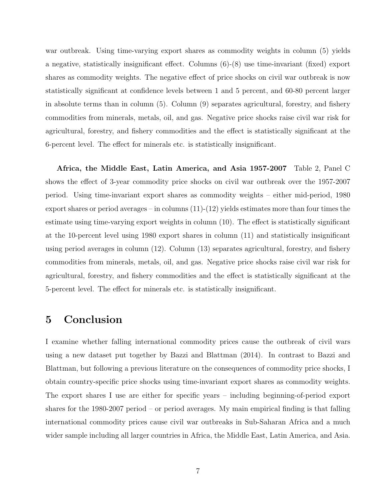war outbreak. Using time-varying export shares as commodity weights in column (5) yields a negative, statistically insignificant effect. Columns (6)-(8) use time-invariant (fixed) export shares as commodity weights. The negative effect of price shocks on civil war outbreak is now statistically significant at confidence levels between 1 and 5 percent, and 60-80 percent larger in absolute terms than in column (5). Column (9) separates agricultural, forestry, and fishery commodities from minerals, metals, oil, and gas. Negative price shocks raise civil war risk for agricultural, forestry, and fishery commodities and the effect is statistically significant at the 6-percent level. The effect for minerals etc. is statistically insignificant.

Africa, the Middle East, Latin America, and Asia 1957-2007 Table 2, Panel C shows the effect of 3-year commodity price shocks on civil war outbreak over the 1957-2007 period. Using time-invariant export shares as commodity weights – either mid-period, 1980 export shares or period averages – in columns  $(11)-(12)$  yields estimates more than four times the estimate using time-varying export weights in column (10). The effect is statistically significant at the 10-percent level using 1980 export shares in column (11) and statistically insignificant using period averages in column (12). Column (13) separates agricultural, forestry, and fishery commodities from minerals, metals, oil, and gas. Negative price shocks raise civil war risk for agricultural, forestry, and fishery commodities and the effect is statistically significant at the 5-percent level. The effect for minerals etc. is statistically insignificant.

### 5 Conclusion

I examine whether falling international commodity prices cause the outbreak of civil wars using a new dataset put together by Bazzi and Blattman (2014). In contrast to Bazzi and Blattman, but following a previous literature on the consequences of commodity price shocks, I obtain country-specific price shocks using time-invariant export shares as commodity weights. The export shares I use are either for specific years – including beginning-of-period export shares for the 1980-2007 period – or period averages. My main empirical finding is that falling international commodity prices cause civil war outbreaks in Sub-Saharan Africa and a much wider sample including all larger countries in Africa, the Middle East, Latin America, and Asia.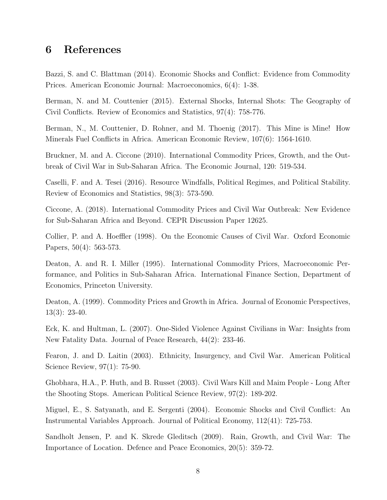# 6 References

Bazzi, S. and C. Blattman (2014). Economic Shocks and Conflict: Evidence from Commodity Prices. American Economic Journal: Macroeconomics, 6(4): 1-38.

Berman, N. and M. Couttenier (2015). External Shocks, Internal Shots: The Geography of Civil Conflicts. Review of Economics and Statistics, 97(4): 758-776.

Berman, N., M. Couttenier, D. Rohner, and M. Thoenig (2017). This Mine is Mine! How Minerals Fuel Conflicts in Africa. American Economic Review, 107(6): 1564-1610.

Bruckner, M. and A. Ciccone (2010). International Commodity Prices, Growth, and the Outbreak of Civil War in Sub-Saharan Africa. The Economic Journal, 120: 519-534.

Caselli, F. and A. Tesei (2016). Resource Windfalls, Political Regimes, and Political Stability. Review of Economics and Statistics, 98(3): 573-590.

Ciccone, A. (2018). International Commodity Prices and Civil War Outbreak: New Evidence for Sub-Saharan Africa and Beyond. CEPR Discussion Paper 12625.

Collier, P. and A. Hoeffler (1998). On the Economic Causes of Civil War. Oxford Economic Papers, 50(4): 563-573.

Deaton, A. and R. I. Miller (1995). International Commodity Prices, Macroeconomic Performance, and Politics in Sub-Saharan Africa. International Finance Section, Department of Economics, Princeton University.

Deaton, A. (1999). Commodity Prices and Growth in Africa. Journal of Economic Perspectives, 13(3): 23-40.

Eck, K. and Hultman, L. (2007). One-Sided Violence Against Civilians in War: Insights from New Fatality Data. Journal of Peace Research, 44(2): 233-46.

Fearon, J. and D. Laitin (2003). Ethnicity, Insurgency, and Civil War. American Political Science Review, 97(1): 75-90.

Ghobhara, H.A., P. Huth, and B. Russet (2003). Civil Wars Kill and Maim People - Long After the Shooting Stops. American Political Science Review, 97(2): 189-202.

Miguel, E., S. Satyanath, and E. Sergenti (2004). Economic Shocks and Civil Conflict: An Instrumental Variables Approach. Journal of Political Economy, 112(41): 725-753.

Sandholt Jensen, P. and K. Skrede Gleditsch (2009). Rain, Growth, and Civil War: The Importance of Location. Defence and Peace Economics, 20(5): 359-72.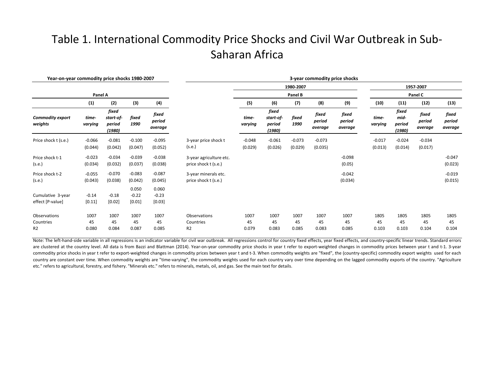# Table 1. International Commodity Price Shocks and Civil War Outbreak in Sub-Saharan Africa

| Year-on-year commodity price shocks 1980-2007 |                     |                                        |                            |                            | 3-year commodity price shocks                   |                     |                                        |                     |                            |                            |                     |                                   |                            |                            |  |
|-----------------------------------------------|---------------------|----------------------------------------|----------------------------|----------------------------|-------------------------------------------------|---------------------|----------------------------------------|---------------------|----------------------------|----------------------------|---------------------|-----------------------------------|----------------------------|----------------------------|--|
|                                               | 1980-2007           |                                        |                            |                            |                                                 |                     |                                        |                     | 1957-2007                  |                            |                     |                                   |                            |                            |  |
|                                               | Panel A             |                                        |                            |                            |                                                 | Panel B             |                                        |                     |                            |                            | Panel C             |                                   |                            |                            |  |
|                                               | (1)                 | (2)                                    | (3)                        | (4)                        |                                                 | (5)                 | (6)                                    | (7)                 | (8)                        | (9)                        | (10)                | (11)                              | (12)                       | (13)                       |  |
| <b>Commodity export</b><br>weights            | time-<br>varying    | fixed<br>start-of-<br>period<br>(1980) | fixed<br>1990              | fixed<br>period<br>average |                                                 | time-<br>varying    | fixed<br>start-of-<br>period<br>(1980) | fixed<br>1990       | fixed<br>period<br>average | fixed<br>period<br>average | time-<br>varying    | fixed<br>mid-<br>period<br>(1980) | fixed<br>period<br>average | fixed<br>period<br>average |  |
| Price shock t (s.e.)                          | $-0.066$<br>(0.044) | $-0.081$<br>(0.042)                    | $-0.100$<br>(0.047)        | $-0.095$<br>(0.052)        | 3-year price shock t<br>(s.e.)                  | $-0.048$<br>(0.029) | $-0.061$<br>(0.026)                    | $-0.073$<br>(0.029) | $-0.073$<br>(0.035)        |                            | $-0.017$<br>(0.013) | $-0.024$<br>(0.014)               | $-0.034$<br>(0.017)        |                            |  |
| Price shock t-1<br>(s.e.)                     | $-0.023$<br>(0.034) | $-0.034$<br>(0.032)                    | $-0.039$<br>(0.037)        | $-0.038$<br>(0.038)        | 3-year agriculture etc.<br>price shock t (s.e.) |                     |                                        |                     |                            | $-0.098$<br>(0.05)         |                     |                                   |                            | $-0.047$<br>(0.023)        |  |
| Price shock t-2<br>(s.e.)                     | $-0.055$<br>(0.043) | $-0.070$<br>(0.038)                    | $-0.083$<br>(0.042)        | $-0.087$<br>(0.045)        | 3-year minerals etc.<br>price shock t (s.e.)    |                     |                                        |                     |                            | $-0.042$<br>(0.034)        |                     |                                   |                            | $-0.019$<br>(0.015)        |  |
| Cumulative 3-year<br>effect [P-value]         | $-0.14$<br>[0.11]   | $-0.18$<br>$[0.02]$                    | 0.050<br>$-0.22$<br>[0.01] | 0.060<br>$-0.23$<br>[0.03] |                                                 |                     |                                        |                     |                            |                            |                     |                                   |                            |                            |  |
| Observations<br>Countries<br>R <sub>2</sub>   | 1007<br>45<br>0.080 | 1007<br>45<br>0.084                    | 1007<br>45<br>0.087        | 1007<br>45<br>0.085        | Observations<br>Countries<br>R <sub>2</sub>     | 1007<br>45<br>0.079 | 1007<br>45<br>0.083                    | 1007<br>45<br>0.085 | 1007<br>45<br>0.083        | 1007<br>45<br>0.085        | 1805<br>45<br>0.103 | 1805<br>45<br>0.103               | 1805<br>45<br>0.104        | 1805<br>45<br>0.104        |  |

Note: The left-hand-side variable in all regressions is an indicator variable for civil war outbreak. All regressions control for country fixed effects, year fixed effects, and country-specific linear trends. Standard erro are clustered at the country level. All data is from Bazzi and Blattman (2014). Year-on-year commodity price shocks in year t refer to export-weighted changes in commodity prices between year t and t-1. 3-year commodity price shocks in year t refer to export-weighted changes in commodity prices between year t and t-3. When commodity weights are "fixed", the (country-specific) commodity export weights used for each country are constant over time. When commodity weights are "time-varying", the commodity weights used for each country vary over time depending on the lagged commodity exports of the country. "Agriculture etc." refers to agricultural, forestry, and fishery. "Minerals etc." refers to minerals, metals, oil, and gas. See the main text for details.